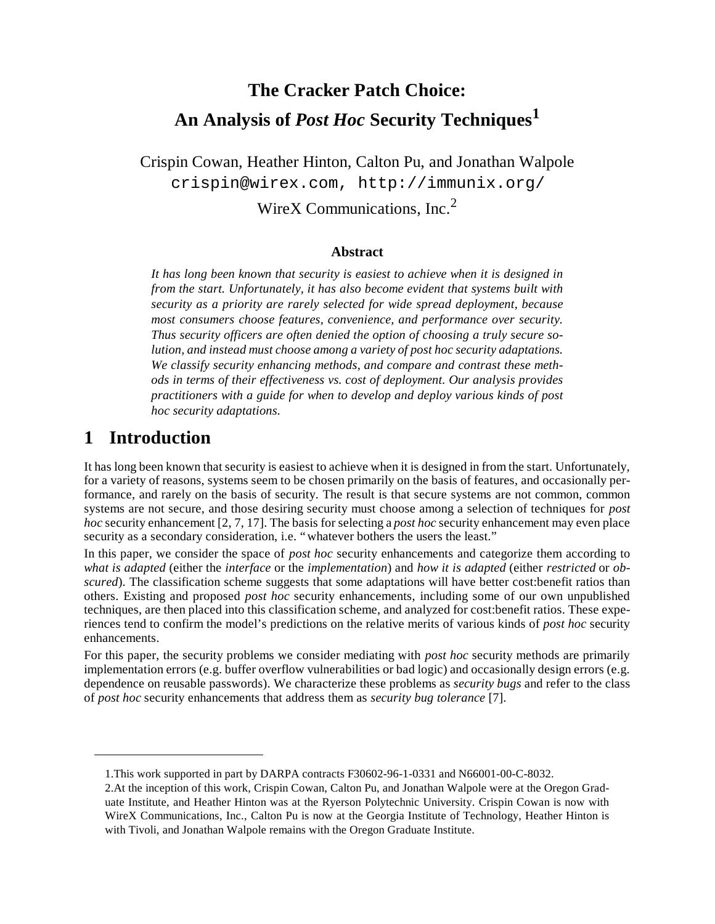# **The Cracker Patch Choice: An Analysis of** *Post Hoc* **Security Techniques<sup>1</sup>**

Crispin Cowan, Heather Hinton, Calton Pu, and Jonathan Walpole crispin@wirex.com, http://immunix.org/ WireX Communications,  $Inc<sup>2</sup>$ 

#### **Abstract**

*It has long been known that security is easiest to achieve when it is designed in from the start. Unfortunately, it has also become evident that systems built with security as a priority are rarely selected for wide spread deployment, because most consumers choose features, convenience, and performance over security. Thus security officers are often denied the option of choosing a truly secure solution, and instead must choose among a variety of post hoc security adaptations. We classify security enhancing methods, and compare and contrast these methods in terms of their effectiveness vs. cost of deployment. Our analysis provides practitioners with a guide for when to develop and deploy various kinds of post hoc security adaptations.*

### **1 Introduction**

It has long been known that security is easiest to achieve when it is designed in from the start. Unfortunately, for a variety of reasons, systems seem to be chosen primarily on the basis of features, and occasionally performance, and rarely on the basis of security. The result is that secure systems are not common, common systems are not secure, and those desiring security must choose among a selection of techniques for *post hoc* security enhancement [2, 7, 17]. The basis for selecting a *post hoc* security enhancement may even place security as a secondary consideration, i.e. "whatever bothers the users the least."

In this paper, we consider the space of *post hoc* security enhancements and categorize them according to *what is adapted* (either the *interface* or the *implementation*) and *how it is adapted* (either *restricted* or *obscured*). The classification scheme suggests that some adaptations will have better cost:benefit ratios than others. Existing and proposed *post hoc* security enhancements, including some of our own unpublished techniques, are then placed into this classification scheme, and analyzed for cost:benefit ratios. These experiences tend to confirm the model's predictions on the relative merits of various kinds of *post hoc* security enhancements.

For this paper, the security problems we consider mediating with *post hoc* security methods are primarily implementation errors (e.g. buffer overflow vulnerabilities or bad logic) and occasionally design errors (e.g. dependence on reusable passwords). We characterize these problems as *security bugs* and refer to the class of *post hoc* security enhancements that address them as *security bug tolerance* [7].

<sup>1.</sup>This work supported in part by DARPA contracts F30602-96-1-0331 and N66001-00-C-8032.

<sup>2.</sup>At the inception of this work, Crispin Cowan, Calton Pu, and Jonathan Walpole were at the Oregon Graduate Institute, and Heather Hinton was at the Ryerson Polytechnic University. Crispin Cowan is now with WireX Communications, Inc., Calton Pu is now at the Georgia Institute of Technology, Heather Hinton is with Tivoli, and Jonathan Walpole remains with the Oregon Graduate Institute.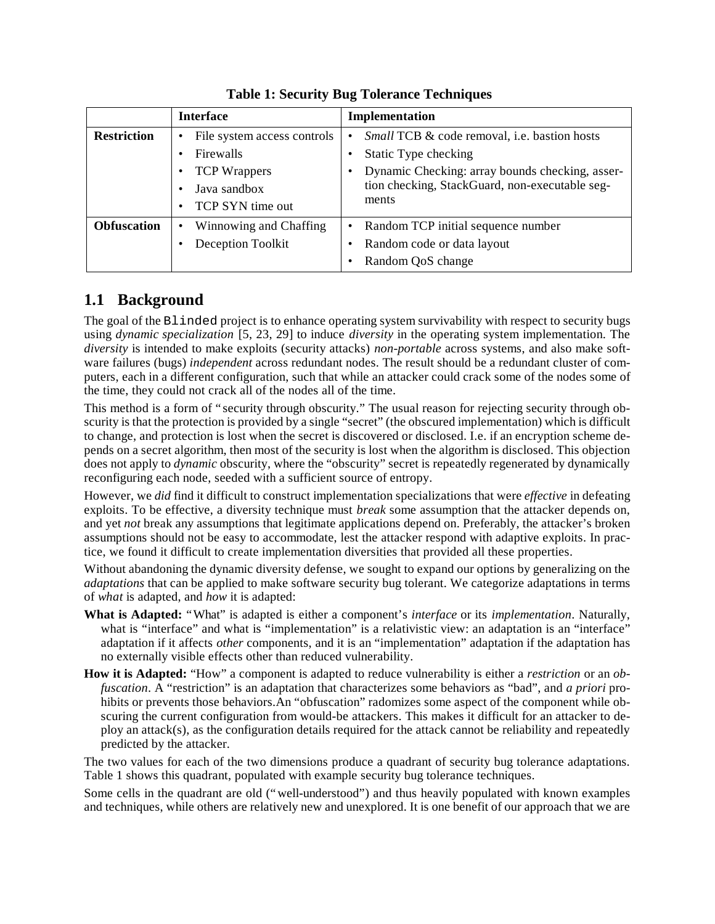|                    | <b>Interface</b>                                                                                    | Implementation                                                                                                                                                                            |
|--------------------|-----------------------------------------------------------------------------------------------------|-------------------------------------------------------------------------------------------------------------------------------------------------------------------------------------------|
| <b>Restriction</b> | File system access controls<br>Firewalls<br><b>TCP</b> Wrappers<br>Java sandbox<br>TCP SYN time out | <i>Small</i> TCB & code removal, i.e. bastion hosts<br>Static Type checking<br>Dynamic Checking: array bounds checking, asser-<br>tion checking, StackGuard, non-executable seg-<br>ments |
| <b>Obfuscation</b> | Winnowing and Chaffing<br>$\bullet$<br>Deception Toolkit                                            | Random TCP initial sequence number<br>Random code or data layout<br>Random QoS change                                                                                                     |

**Table 1: Security Bug Tolerance Techniques**

### **1.1 Background**

The goal of the Blinded project is to enhance operating system survivability with respect to security bugs using *dynamic specialization* [5, 23, 29] to induce *diversity* in the operating system implementation. The *diversity* is intended to make exploits (security attacks) *non-portable* across systems, and also make software failures (bugs) *independent* across redundant nodes. The result should be a redundant cluster of computers, each in a different configuration, such that while an attacker could crack some of the nodes some of the time, they could not crack all of the nodes all of the time.

This method is a form of "security through obscurity." The usual reason for rejecting security through obscurity is that the protection is provided by a single "secret" (the obscured implementation) which is difficult to change, and protection is lost when the secret is discovered or disclosed. I.e. if an encryption scheme depends on a secret algorithm, then most of the security is lost when the algorithm is disclosed. This objection does not apply to *dynamic* obscurity, where the "obscurity" secret is repeatedly regenerated by dynamically reconfiguring each node, seeded with a sufficient source of entropy.

However, we *did* find it difficult to construct implementation specializations that were *effective* in defeating exploits. To be effective, a diversity technique must *break* some assumption that the attacker depends on, and yet *not* break any assumptions that legitimate applications depend on. Preferably, the attacker's broken assumptions should not be easy to accommodate, lest the attacker respond with adaptive exploits. In practice, we found it difficult to create implementation diversities that provided all these properties.

Without abandoning the dynamic diversity defense, we sought to expand our options by generalizing on the *adaptations* that can be applied to make software security bug tolerant. We categorize adaptations in terms of *what* is adapted, and *how* it is adapted:

- **What is Adapted:** "What" is adapted is either a component's *interface* or its *implementation*. Naturally, what is "interface" and what is "implementation" is a relativistic view: an adaptation is an "interface" adaptation if it affects *other* components, and it is an "implementation" adaptation if the adaptation has no externally visible effects other than reduced vulnerability.
- **How it is Adapted:** "How" a component is adapted to reduce vulnerability is either a *restriction* or an *obfuscation*. A "restriction" is an adaptation that characterizes some behaviors as "bad", and *a priori* prohibits or prevents those behaviors. An "obfuscation" radomizes some aspect of the component while obscuring the current configuration from would-be attackers. This makes it difficult for an attacker to deploy an attack(s), as the configuration details required for the attack cannot be reliability and repeatedly predicted by the attacker.

The two values for each of the two dimensions produce a quadrant of security bug tolerance adaptations. Table 1 shows this quadrant, populated with example security bug tolerance techniques.

Some cells in the quadrant are old ("well-understood") and thus heavily populated with known examples and techniques, while others are relatively new and unexplored. It is one benefit of our approach that we are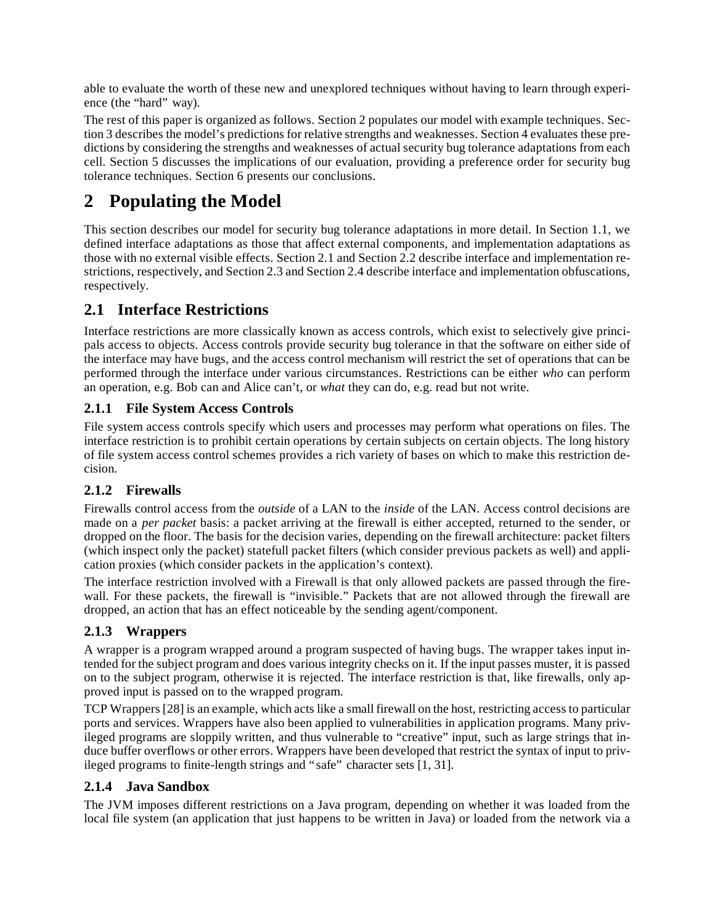able to evaluate the worth of these new and unexplored techniques without having to learn through experience (the "hard" way).

The rest of this paper is organized as follows. Section 2 populates our model with example techniques. Section 3 describes the model's predictions for relative strengths and weaknesses. Section 4 evaluates these predictions by considering the strengths and weaknesses of actual security bug tolerance adaptations from each cell. Section 5 discusses the implications of our evaluation, providing a preference order for security bug tolerance techniques. Section 6 presents our conclusions.

## **2 Populating the Model**

This section describes our model for security bug tolerance adaptations in more detail. In Section 1.1, we defined interface adaptations as those that affect external components, and implementation adaptations as those with no external visible effects. Section 2.1 and Section 2.2 describe interface and implementation restrictions, respectively, and Section 2.3 and Section 2.4 describe interface and implementation obfuscations, respectively.

### **2.1 Interface Restrictions**

Interface restrictions are more classically known as access controls, which exist to selectively give principals access to objects. Access controls provide security bug tolerance in that the software on either side of the interface may have bugs, and the access control mechanism will restrict the set of operations that can be performed through the interface under various circumstances. Restrictions can be either *who* can perform an operation, e.g. Bob can and Alice can't, or *what* they can do, e.g. read but not write.

#### **2.1.1 File System Access Controls**

File system access controls specify which users and processes may perform what operations on files. The interface restriction is to prohibit certain operations by certain subjects on certain objects. The long history of file system access control schemes provides a rich variety of bases on which to make this restriction decision.

#### **2.1.2 Firewalls**

Firewalls control access from the *outside* of a LAN to the *inside* of the LAN. Access control decisions are made on a *per packet* basis: a packet arriving at the firewall is either accepted, returned to the sender, or dropped on the floor. The basis for the decision varies, depending on the firewall architecture: packet filters (which inspect only the packet) statefull packet filters (which consider previous packets as well) and application proxies (which consider packets in the application's context).

The interface restriction involved with a Firewall is that only allowed packets are passed through the firewall. For these packets, the firewall is "invisible." Packets that are not allowed through the firewall are dropped, an action that has an effect noticeable by the sending agent/component.

#### **2.1.3 Wrappers**

A wrapper is a program wrapped around a program suspected of having bugs. The wrapper takes input intended for the subject program and does various integrity checks on it. If the input passes muster, it is passed on to the subject program, otherwise it is rejected. The interface restriction is that, like firewalls, only approved input is passed on to the wrapped program.

TCP Wrappers [28] is an example, which acts like a small firewall on the host, restricting access to particular ports and services. Wrappers have also been applied to vulnerabilities in application programs. Many privileged programs are sloppily written, and thus vulnerable to "creative" input, such as large strings that induce buffer overflows or other errors. Wrappers have been developed that restrict the syntax of input to privileged programs to finite-length strings and "safe" character sets [1, 31].

#### **2.1.4 Java Sandbox**

The JVM imposes different restrictions on a Java program, depending on whether it was loaded from the local file system (an application that just happens to be written in Java) or loaded from the network via a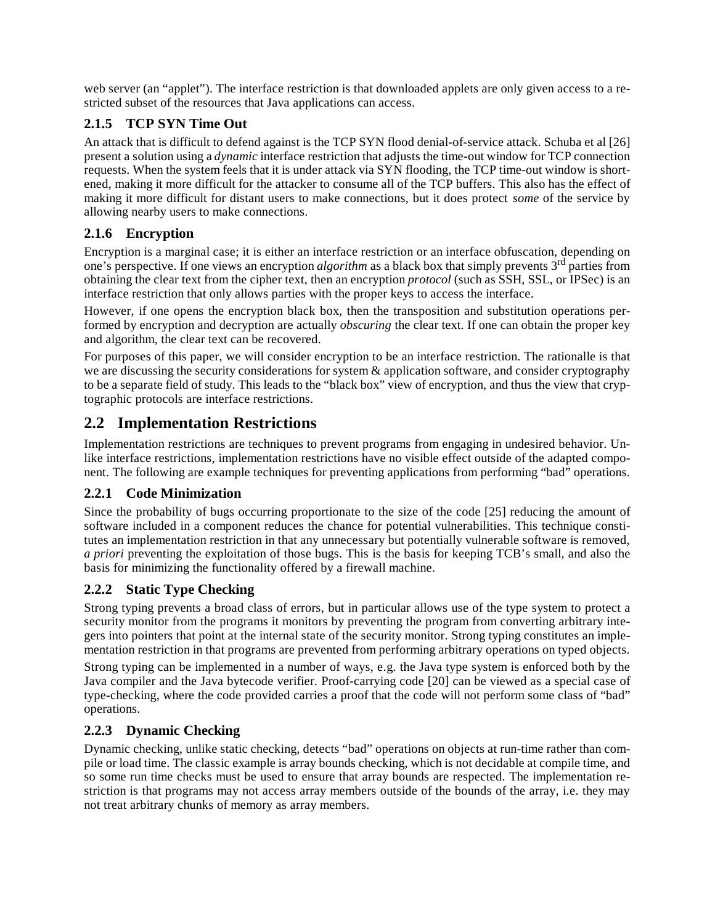web server (an "applet"). The interface restriction is that downloaded applets are only given access to a restricted subset of the resources that Java applications can access.

#### **2.1.5 TCP SYN Time Out**

An attack that is difficult to defend against is the TCP SYN flood denial-of-service attack. Schuba et al [26] present a solution using a *dynamic* interface restriction that adjusts the time-out window for TCP connection requests. When the system feels that it is under attack via SYN flooding, the TCP time-out window is shortened, making it more difficult for the attacker to consume all of the TCP buffers. This also has the effect of making it more difficult for distant users to make connections, but it does protect *some* of the service by allowing nearby users to make connections.

#### **2.1.6 Encryption**

Encryption is a marginal case; it is either an interface restriction or an interface obfuscation, depending on one's perspective. If one views an encryption *algorithm* as a black box that simply prevents 3rd parties from obtaining the clear text from the cipher text, then an encryption *protocol* (such as SSH, SSL, or IPSec) is an interface restriction that only allows parties with the proper keys to access the interface.

However, if one opens the encryption black box, then the transposition and substitution operations performed by encryption and decryption are actually *obscuring* the clear text. If one can obtain the proper key and algorithm, the clear text can be recovered.

For purposes of this paper, we will consider encryption to be an interface restriction. The rationalle is that we are discussing the security considerations for system  $\&$  application software, and consider cryptography to be a separate field of study. This leads to the "black box" view of encryption, and thus the view that cryptographic protocols are interface restrictions.

### **2.2 Implementation Restrictions**

Implementation restrictions are techniques to prevent programs from engaging in undesired behavior. Unlike interface restrictions, implementation restrictions have no visible effect outside of the adapted component. The following are example techniques for preventing applications from performing "bad" operations.

#### **2.2.1 Code Minimization**

Since the probability of bugs occurring proportionate to the size of the code [25] reducing the amount of software included in a component reduces the chance for potential vulnerabilities. This technique constitutes an implementation restriction in that any unnecessary but potentially vulnerable software is removed, *a priori* preventing the exploitation of those bugs. This is the basis for keeping TCB's small, and also the basis for minimizing the functionality offered by a firewall machine.

#### **2.2.2 Static Type Checking**

Strong typing prevents a broad class of errors, but in particular allows use of the type system to protect a security monitor from the programs it monitors by preventing the program from converting arbitrary integers into pointers that point at the internal state of the security monitor. Strong typing constitutes an implementation restriction in that programs are prevented from performing arbitrary operations on typed objects.

Strong typing can be implemented in a number of ways, e.g. the Java type system is enforced both by the Java compiler and the Java bytecode verifier. Proof-carrying code [20] can be viewed as a special case of type-checking, where the code provided carries a proof that the code will not perform some class of "bad" operations.

#### **2.2.3 Dynamic Checking**

Dynamic checking, unlike static checking, detects "bad" operations on objects at run-time rather than compile or load time. The classic example is array bounds checking, which is not decidable at compile time, and so some run time checks must be used to ensure that array bounds are respected. The implementation restriction is that programs may not access array members outside of the bounds of the array, i.e. they may not treat arbitrary chunks of memory as array members.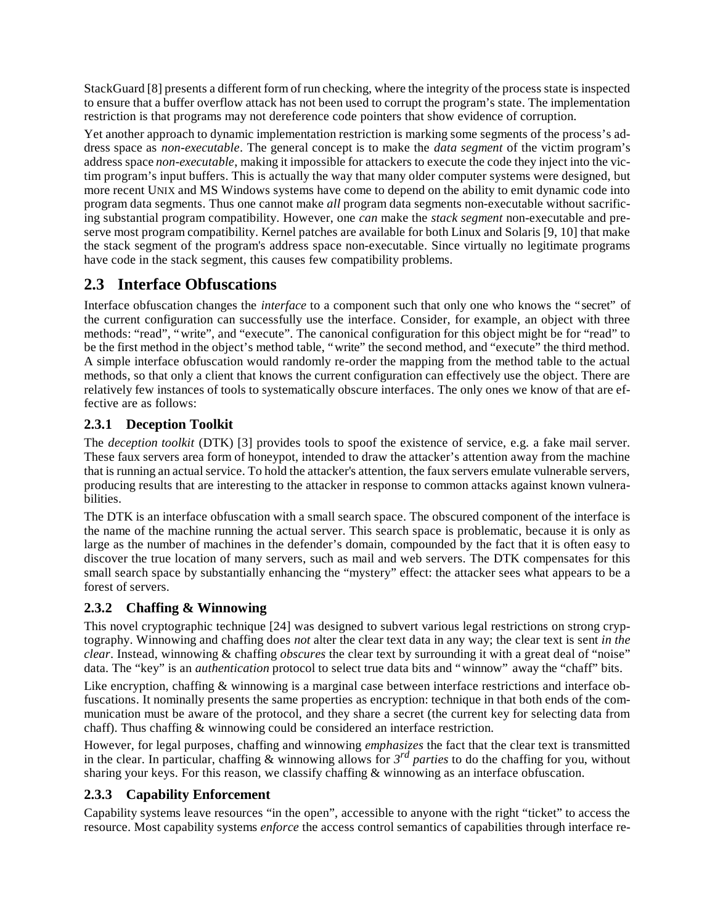StackGuard [8] presents a different form of run checking, where the integrity of the process state is inspected to ensure that a buffer overflow attack has not been used to corrupt the program's state. The implementation restriction is that programs may not dereference code pointers that show evidence of corruption.

Yet another approach to dynamic implementation restriction is marking some segments of the process's address space as *non-executable*. The general concept is to make the *data segment* of the victim program's address space *non-executable*, making it impossible for attackers to execute the code they inject into the victim program's input buffers. This is actually the way that many older computer systems were designed, but more recent UNIX and MS Windows systems have come to depend on the ability to emit dynamic code into program data segments. Thus one cannot make *all* program data segments non-executable without sacrificing substantial program compatibility. However, one *can* make the *stack segment* non-executable and preserve most program compatibility. Kernel patches are available for both Linux and Solaris [9, 10] that make the stack segment of the program's address space non-executable. Since virtually no legitimate programs have code in the stack segment, this causes few compatibility problems.

## **2.3 Interface Obfuscations**

Interface obfuscation changes the *interface* to a component such that only one who knows the "secret" of the current configuration can successfully use the interface. Consider, for example, an object with three methods: "read", "write", and "execute". The canonical configuration for this object might be for "read" to be the first method in the object's method table, "write" the second method, and "execute" the third method. A simple interface obfuscation would randomly re-order the mapping from the method table to the actual methods, so that only a client that knows the current configuration can effectively use the object. There are relatively few instances of tools to systematically obscure interfaces. The only ones we know of that are effective are as follows:

#### **2.3.1 Deception Toolkit**

The *deception toolkit* (DTK) [3] provides tools to spoof the existence of service, e.g. a fake mail server. These faux servers area form of honeypot, intended to draw the attacker's attention away from the machine that is running an actual service. To hold the attacker's attention, the faux servers emulate vulnerable servers, producing results that are interesting to the attacker in response to common attacks against known vulnerabilities.

The DTK is an interface obfuscation with a small search space. The obscured component of the interface is the name of the machine running the actual server. This search space is problematic, because it is only as large as the number of machines in the defender's domain, compounded by the fact that it is often easy to discover the true location of many servers, such as mail and web servers. The DTK compensates for this small search space by substantially enhancing the "mystery" effect: the attacker sees what appears to be a forest of servers.

#### **2.3.2 Chaffing & Winnowing**

This novel cryptographic technique [24] was designed to subvert various legal restrictions on strong cryptography. Winnowing and chaffing does *not* alter the clear text data in any way; the clear text is sent *in the clear*. Instead, winnowing & chaffing *obscures* the clear text by surrounding it with a great deal of "noise" data. The "key" is an *authentication* protocol to select true data bits and "winnow" away the "chaff" bits.

Like encryption, chaffing & winnowing is a marginal case between interface restrictions and interface obfuscations. It nominally presents the same properties as encryption: technique in that both ends of the communication must be aware of the protocol, and they share a secret (the current key for selecting data from chaff). Thus chaffing & winnowing could be considered an interface restriction.

However, for legal purposes, chaffing and winnowing *emphasizes* the fact that the clear text is transmitted in the clear. In particular, chaffing  $\&$  winnowing allows for  $3^{rd}$  parties to do the chaffing for you, without sharing your keys. For this reason, we classify chaffing & winnowing as an interface obfuscation.

#### **2.3.3 Capability Enforcement**

Capability systems leave resources "in the open", accessible to anyone with the right "ticket" to access the resource. Most capability systems *enforce* the access control semantics of capabilities through interface re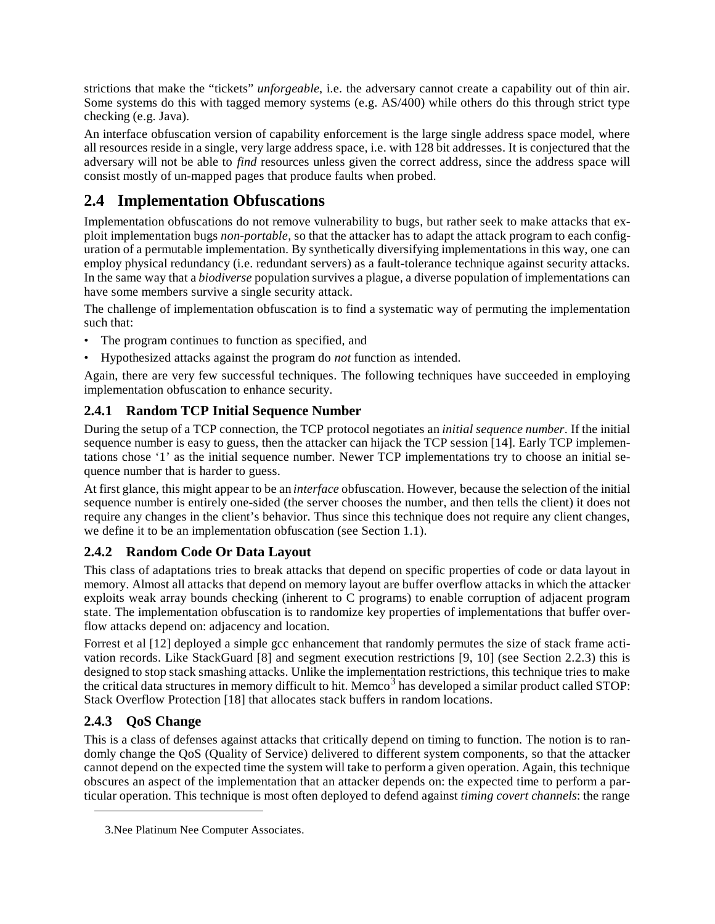strictions that make the "tickets" *unforgeable*, i.e. the adversary cannot create a capability out of thin air. Some systems do this with tagged memory systems (e.g. AS/400) while others do this through strict type checking (e.g. Java).

An interface obfuscation version of capability enforcement is the large single address space model, where all resources reside in a single, very large address space, i.e. with 128 bit addresses. It is conjectured that the adversary will not be able to *find* resources unless given the correct address, since the address space will consist mostly of un-mapped pages that produce faults when probed.

## **2.4 Implementation Obfuscations**

Implementation obfuscations do not remove vulnerability to bugs, but rather seek to make attacks that exploit implementation bugs *non-portable*, so that the attacker has to adapt the attack program to each configuration of a permutable implementation. By synthetically diversifying implementations in this way, one can employ physical redundancy (i.e. redundant servers) as a fault-tolerance technique against security attacks. In the same way that a *biodiverse* population survives a plague, a diverse population of implementations can have some members survive a single security attack.

The challenge of implementation obfuscation is to find a systematic way of permuting the implementation such that:

- The program continues to function as specified, and
- Hypothesized attacks against the program do *not* function as intended.

Again, there are very few successful techniques. The following techniques have succeeded in employing implementation obfuscation to enhance security.

#### **2.4.1 Random TCP Initial Sequence Number**

During the setup of a TCP connection, the TCP protocol negotiates an *initial sequence number*. If the initial sequence number is easy to guess, then the attacker can hijack the TCP session [14]. Early TCP implementations chose '1' as the initial sequence number. Newer TCP implementations try to choose an initial sequence number that is harder to guess.

At first glance, this might appear to be an *interface* obfuscation. However, because the selection of the initial sequence number is entirely one-sided (the server chooses the number, and then tells the client) it does not require any changes in the client's behavior. Thus since this technique does not require any client changes, we define it to be an implementation obfuscation (see Section 1.1).

#### **2.4.2 Random Code Or Data Layout**

This class of adaptations tries to break attacks that depend on specific properties of code or data layout in memory. Almost all attacks that depend on memory layout are buffer overflow attacks in which the attacker exploits weak array bounds checking (inherent to C programs) to enable corruption of adjacent program state. The implementation obfuscation is to randomize key properties of implementations that buffer overflow attacks depend on: adjacency and location.

Forrest et al [12] deployed a simple gcc enhancement that randomly permutes the size of stack frame activation records. Like StackGuard [8] and segment execution restrictions [9, 10] (see Section 2.2.3) this is designed to stop stack smashing attacks. Unlike the implementation restrictions, this technique tries to make the critical data structures in memory difficult to hit. Memco<sup>3</sup> has developed a similar product called STOP: Stack Overflow Protection [18] that allocates stack buffers in random locations.

#### **2.4.3 QoS Change**

This is a class of defenses against attacks that critically depend on timing to function. The notion is to randomly change the QoS (Quality of Service) delivered to different system components, so that the attacker cannot depend on the expected time the system will take to perform a given operation. Again, this technique obscures an aspect of the implementation that an attacker depends on: the expected time to perform a particular operation. This technique is most often deployed to defend against *timing covert channels*: the range

<sup>3.</sup>Nee Platinum Nee Computer Associates.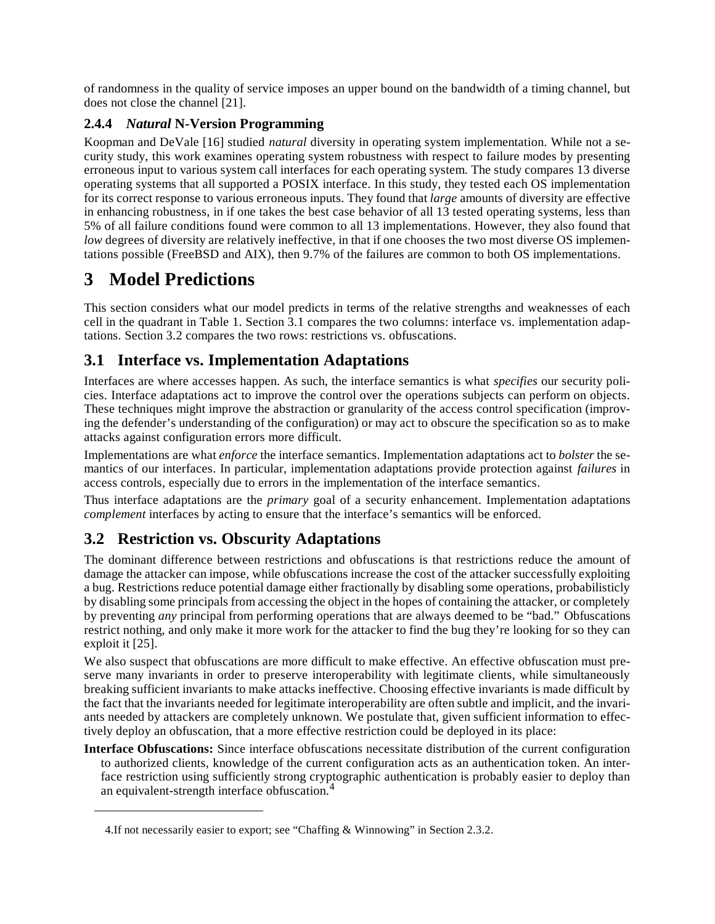of randomness in the quality of service imposes an upper bound on the bandwidth of a timing channel, but does not close the channel [21].

#### **2.4.4** *Natural* **N-Version Programming**

Koopman and DeVale [16] studied *natural* diversity in operating system implementation. While not a security study, this work examines operating system robustness with respect to failure modes by presenting erroneous input to various system call interfaces for each operating system. The study compares 13 diverse operating systems that all supported a POSIX interface. In this study, they tested each OS implementation for its correct response to various erroneous inputs. They found that *large* amounts of diversity are effective in enhancing robustness, in if one takes the best case behavior of all 13 tested operating systems, less than 5% of all failure conditions found were common to all 13 implementations. However, they also found that *low* degrees of diversity are relatively ineffective, in that if one chooses the two most diverse OS implementations possible (FreeBSD and AIX), then 9.7% of the failures are common to both OS implementations.

## **3 Model Predictions**

This section considers what our model predicts in terms of the relative strengths and weaknesses of each cell in the quadrant in Table 1. Section 3.1 compares the two columns: interface vs. implementation adaptations. Section 3.2 compares the two rows: restrictions vs. obfuscations.

### **3.1 Interface vs. Implementation Adaptations**

Interfaces are where accesses happen. As such, the interface semantics is what *specifies* our security policies. Interface adaptations act to improve the control over the operations subjects can perform on objects. These techniques might improve the abstraction or granularity of the access control specification (improving the defender's understanding of the configuration) or may act to obscure the specification so as to make attacks against configuration errors more difficult.

Implementations are what *enforce* the interface semantics. Implementation adaptations act to *bolster* the semantics of our interfaces. In particular, implementation adaptations provide protection against *failures* in access controls, especially due to errors in the implementation of the interface semantics.

Thus interface adaptations are the *primary* goal of a security enhancement. Implementation adaptations *complement* interfaces by acting to ensure that the interface's semantics will be enforced.

#### **3.2 Restriction vs. Obscurity Adaptations**

The dominant difference between restrictions and obfuscations is that restrictions reduce the amount of damage the attacker can impose, while obfuscations increase the cost of the attacker successfully exploiting a bug. Restrictions reduce potential damage either fractionally by disabling some operations, probabilisticly by disabling some principals from accessing the object in the hopes of containing the attacker, or completely by preventing *any* principal from performing operations that are always deemed to be "bad." Obfuscations restrict nothing, and only make it more work for the attacker to find the bug they're looking for so they can exploit it [25].

We also suspect that obfuscations are more difficult to make effective. An effective obfuscation must preserve many invariants in order to preserve interoperability with legitimate clients, while simultaneously breaking sufficient invariants to make attacks ineffective. Choosing effective invariants is made difficult by the fact that the invariants needed for legitimate interoperability are often subtle and implicit, and the invariants needed by attackers are completely unknown. We postulate that, given sufficient information to effectively deploy an obfuscation, that a more effective restriction could be deployed in its place:

**Interface Obfuscations:** Since interface obfuscations necessitate distribution of the current configuration to authorized clients, knowledge of the current configuration acts as an authentication token. An interface restriction using sufficiently strong cryptographic authentication is probably easier to deploy than an equivalent-strength interface obfuscation.<sup>4</sup>

<sup>4.</sup>If not necessarily easier to export; see "Chaffing & Winnowing" in Section 2.3.2.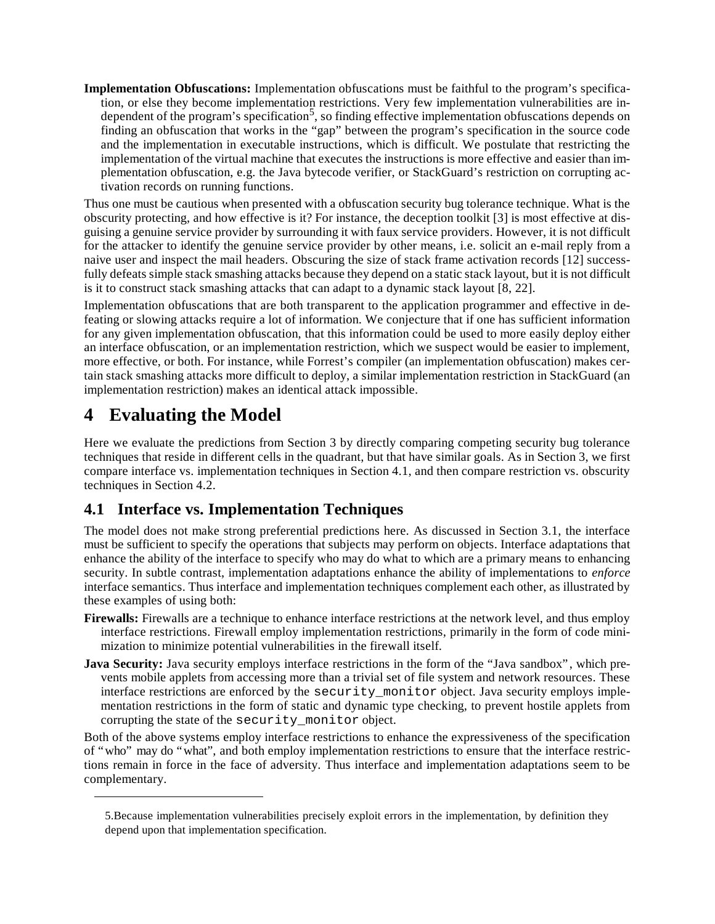**Implementation Obfuscations:** Implementation obfuscations must be faithful to the program's specification, or else they become implementation restrictions. Very few implementation vulnerabilities are independent of the program's specification<sup>5</sup>, so finding effective implementation obfuscations depends on finding an obfuscation that works in the "gap" between the program's specification in the source code and the implementation in executable instructions, which is difficult. We postulate that restricting the implementation of the virtual machine that executes the instructions is more effective and easier than implementation obfuscation, e.g. the Java bytecode verifier, or StackGuard's restriction on corrupting activation records on running functions.

Thus one must be cautious when presented with a obfuscation security bug tolerance technique. What is the obscurity protecting, and how effective is it? For instance, the deception toolkit [3] is most effective at disguising a genuine service provider by surrounding it with faux service providers. However, it is not difficult for the attacker to identify the genuine service provider by other means, i.e. solicit an e-mail reply from a naive user and inspect the mail headers. Obscuring the size of stack frame activation records [12] successfully defeats simple stack smashing attacks because they depend on a static stack layout, but it is not difficult is it to construct stack smashing attacks that can adapt to a dynamic stack layout [8, 22].

Implementation obfuscations that are both transparent to the application programmer and effective in defeating or slowing attacks require a lot of information. We conjecture that if one has sufficient information for any given implementation obfuscation, that this information could be used to more easily deploy either an interface obfuscation, or an implementation restriction, which we suspect would be easier to implement, more effective, or both. For instance, while Forrest's compiler (an implementation obfuscation) makes certain stack smashing attacks more difficult to deploy, a similar implementation restriction in StackGuard (an implementation restriction) makes an identical attack impossible.

## **4 Evaluating the Model**

Here we evaluate the predictions from Section 3 by directly comparing competing security bug tolerance techniques that reside in different cells in the quadrant, but that have similar goals. As in Section 3, we first compare interface vs. implementation techniques in Section 4.1, and then compare restriction vs. obscurity techniques in Section 4.2.

## **4.1 Interface vs. Implementation Techniques**

The model does not make strong preferential predictions here. As discussed in Section 3.1, the interface must be sufficient to specify the operations that subjects may perform on objects. Interface adaptations that enhance the ability of the interface to specify who may do what to which are a primary means to enhancing security. In subtle contrast, implementation adaptations enhance the ability of implementations to *enforce* interface semantics. Thus interface and implementation techniques complement each other, as illustrated by these examples of using both:

- **Firewalls:** Firewalls are a technique to enhance interface restrictions at the network level, and thus employ interface restrictions. Firewall employ implementation restrictions, primarily in the form of code minimization to minimize potential vulnerabilities in the firewall itself.
- **Java Security:** Java security employs interface restrictions in the form of the "Java sandbox", which prevents mobile applets from accessing more than a trivial set of file system and network resources. These interface restrictions are enforced by the security\_monitor object. Java security employs implementation restrictions in the form of static and dynamic type checking, to prevent hostile applets from corrupting the state of the security\_monitor object.

Both of the above systems employ interface restrictions to enhance the expressiveness of the specification of "who" may do "what", and both employ implementation restrictions to ensure that the interface restrictions remain in force in the face of adversity. Thus interface and implementation adaptations seem to be complementary.

<sup>5.</sup>Because implementation vulnerabilities precisely exploit errors in the implementation, by definition they depend upon that implementation specification.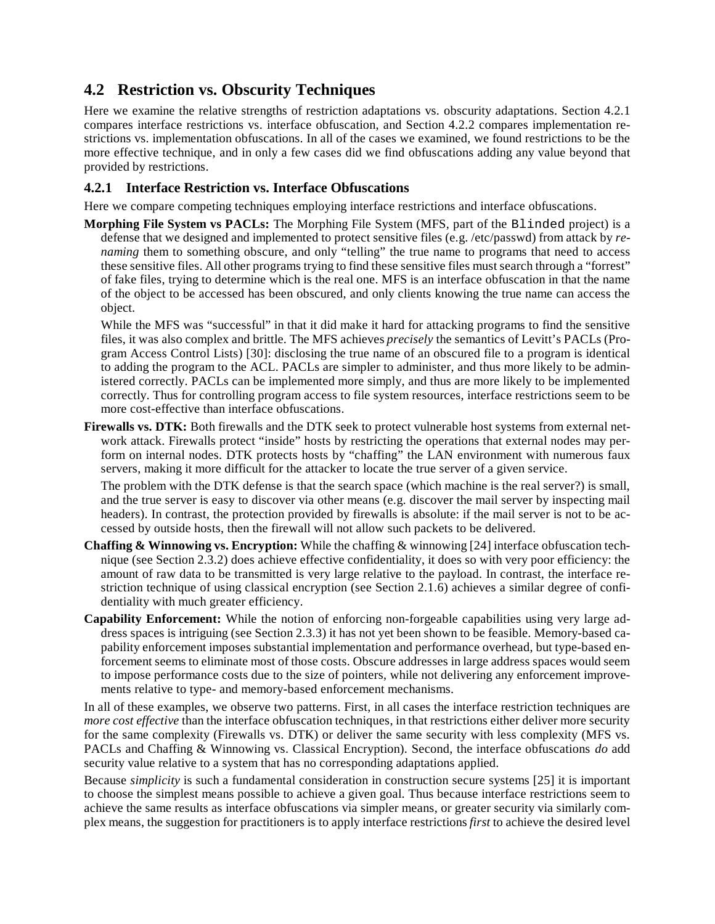### **4.2 Restriction vs. Obscurity Techniques**

Here we examine the relative strengths of restriction adaptations vs. obscurity adaptations. Section 4.2.1 compares interface restrictions vs. interface obfuscation, and Section 4.2.2 compares implementation restrictions vs. implementation obfuscations. In all of the cases we examined, we found restrictions to be the more effective technique, and in only a few cases did we find obfuscations adding any value beyond that provided by restrictions.

#### **4.2.1 Interface Restriction vs. Interface Obfuscations**

Here we compare competing techniques employing interface restrictions and interface obfuscations.

**Morphing File System vs PACLs:** The Morphing File System (MFS, part of the Blinded project) is a defense that we designed and implemented to protect sensitive files (e.g. /etc/passwd) from attack by *renaming* them to something obscure, and only "telling" the true name to programs that need to access these sensitive files. All other programs trying to find these sensitive files must search through a "forrest" of fake files, trying to determine which is the real one. MFS is an interface obfuscation in that the name of the object to be accessed has been obscured, and only clients knowing the true name can access the object.

While the MFS was "successful" in that it did make it hard for attacking programs to find the sensitive files, it was also complex and brittle. The MFS achieves *precisely* the semantics of Levitt's PACLs (Program Access Control Lists) [30]: disclosing the true name of an obscured file to a program is identical to adding the program to the ACL. PACLs are simpler to administer, and thus more likely to be administered correctly. PACLs can be implemented more simply, and thus are more likely to be implemented correctly. Thus for controlling program access to file system resources, interface restrictions seem to be more cost-effective than interface obfuscations.

**Firewalls vs. DTK:** Both firewalls and the DTK seek to protect vulnerable host systems from external network attack. Firewalls protect "inside" hosts by restricting the operations that external nodes may perform on internal nodes. DTK protects hosts by "chaffing" the LAN environment with numerous faux servers, making it more difficult for the attacker to locate the true server of a given service.

The problem with the DTK defense is that the search space (which machine is the real server?) is small, and the true server is easy to discover via other means (e.g. discover the mail server by inspecting mail headers). In contrast, the protection provided by firewalls is absolute: if the mail server is not to be accessed by outside hosts, then the firewall will not allow such packets to be delivered.

- **Chaffing & Winnowing vs. Encryption:** While the chaffing & winnowing [24] interface obfuscation technique (see Section 2.3.2) does achieve effective confidentiality, it does so with very poor efficiency: the amount of raw data to be transmitted is very large relative to the payload. In contrast, the interface restriction technique of using classical encryption (see Section 2.1.6) achieves a similar degree of confidentiality with much greater efficiency.
- **Capability Enforcement:** While the notion of enforcing non-forgeable capabilities using very large address spaces is intriguing (see Section 2.3.3) it has not yet been shown to be feasible. Memory-based capability enforcement imposes substantial implementation and performance overhead, but type-based enforcement seems to eliminate most of those costs. Obscure addresses in large address spaces would seem to impose performance costs due to the size of pointers, while not delivering any enforcement improvements relative to type- and memory-based enforcement mechanisms.

In all of these examples, we observe two patterns. First, in all cases the interface restriction techniques are *more cost effective* than the interface obfuscation techniques, in that restrictions either deliver more security for the same complexity (Firewalls vs. DTK) or deliver the same security with less complexity (MFS vs. PACLs and Chaffing & Winnowing vs. Classical Encryption). Second, the interface obfuscations *do* add security value relative to a system that has no corresponding adaptations applied.

Because *simplicity* is such a fundamental consideration in construction secure systems [25] it is important to choose the simplest means possible to achieve a given goal. Thus because interface restrictions seem to achieve the same results as interface obfuscations via simpler means, or greater security via similarly complex means, the suggestion for practitioners is to apply interface restrictions *first* to achieve the desired level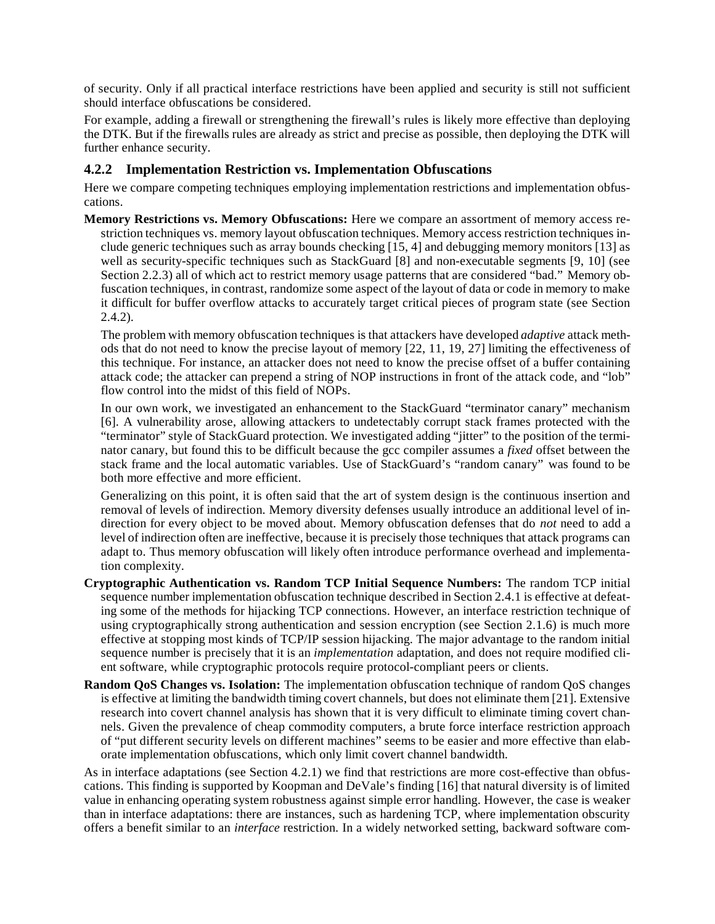of security. Only if all practical interface restrictions have been applied and security is still not sufficient should interface obfuscations be considered.

For example, adding a firewall or strengthening the firewall's rules is likely more effective than deploying the DTK. But if the firewalls rules are already as strict and precise as possible, then deploying the DTK will further enhance security.

#### **4.2.2 Implementation Restriction vs. Implementation Obfuscations**

Here we compare competing techniques employing implementation restrictions and implementation obfuscations.

**Memory Restrictions vs. Memory Obfuscations:** Here we compare an assortment of memory access restriction techniques vs. memory layout obfuscation techniques. Memory access restriction techniques include generic techniques such as array bounds checking [15, 4] and debugging memory monitors [13] as well as security-specific techniques such as StackGuard [8] and non-executable segments [9, 10] (see Section 2.2.3) all of which act to restrict memory usage patterns that are considered "bad." Memory obfuscation techniques, in contrast, randomize some aspect of the layout of data or code in memory to make it difficult for buffer overflow attacks to accurately target critical pieces of program state (see Section 2.4.2).

The problem with memory obfuscation techniques is that attackers have developed *adaptive* attack methods that do not need to know the precise layout of memory [22, 11, 19, 27] limiting the effectiveness of this technique. For instance, an attacker does not need to know the precise offset of a buffer containing attack code; the attacker can prepend a string of NOP instructions in front of the attack code, and "lob" flow control into the midst of this field of NOPs.

In our own work, we investigated an enhancement to the StackGuard "terminator canary" mechanism [6]. A vulnerability arose, allowing attackers to undetectably corrupt stack frames protected with the "terminator" style of StackGuard protection. We investigated adding "jitter" to the position of the terminator canary, but found this to be difficult because the gcc compiler assumes a *fixed* offset between the stack frame and the local automatic variables. Use of StackGuard's "random canary" was found to be both more effective and more efficient.

Generalizing on this point, it is often said that the art of system design is the continuous insertion and removal of levels of indirection. Memory diversity defenses usually introduce an additional level of indirection for every object to be moved about. Memory obfuscation defenses that do *not* need to add a level of indirection often are ineffective, because it is precisely those techniques that attack programs can adapt to. Thus memory obfuscation will likely often introduce performance overhead and implementation complexity.

- **Cryptographic Authentication vs. Random TCP Initial Sequence Numbers:** The random TCP initial sequence number implementation obfuscation technique described in Section 2.4.1 is effective at defeating some of the methods for hijacking TCP connections. However, an interface restriction technique of using cryptographically strong authentication and session encryption (see Section 2.1.6) is much more effective at stopping most kinds of TCP/IP session hijacking. The major advantage to the random initial sequence number is precisely that it is an *implementation* adaptation, and does not require modified client software, while cryptographic protocols require protocol-compliant peers or clients.
- **Random QoS Changes vs. Isolation:** The implementation obfuscation technique of random QoS changes is effective at limiting the bandwidth timing covert channels, but does not eliminate them [21]. Extensive research into covert channel analysis has shown that it is very difficult to eliminate timing covert channels. Given the prevalence of cheap commodity computers, a brute force interface restriction approach of "put different security levels on different machines" seems to be easier and more effective than elaborate implementation obfuscations, which only limit covert channel bandwidth.

As in interface adaptations (see Section 4.2.1) we find that restrictions are more cost-effective than obfuscations. This finding is supported by Koopman and DeVale's finding [16] that natural diversity is of limited value in enhancing operating system robustness against simple error handling. However, the case is weaker than in interface adaptations: there are instances, such as hardening TCP, where implementation obscurity offers a benefit similar to an *interface* restriction. In a widely networked setting, backward software com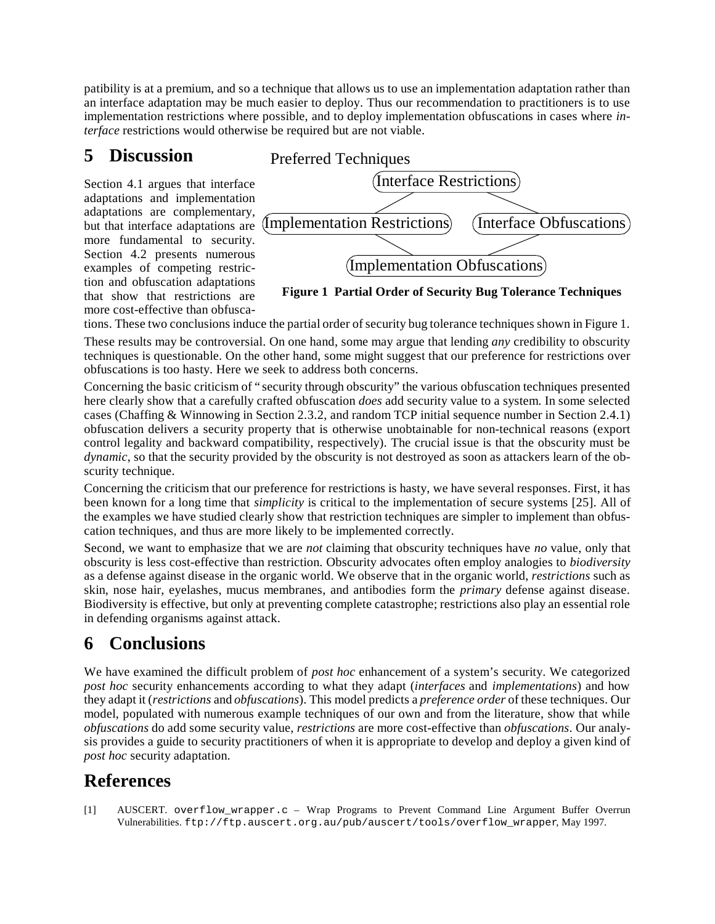patibility is at a premium, and so a technique that allows us to use an implementation adaptation rather than an interface adaptation may be much easier to deploy. Thus our recommendation to practitioners is to use implementation restrictions where possible, and to deploy implementation obfuscations in cases where *interface* restrictions would otherwise be required but are not viable.

## **5 Discussion**

Section 4.1 argues that interface adaptations and implementation adaptations are complementary, but that interface adaptations are more fundamental to security. Section 4.2 presents numerous examples of competing restriction and obfuscation adaptations that show that restrictions are more cost-effective than obfusca-



**Figure 1 Partial Order of Security Bug Tolerance Techniques**

tions. These two conclusions induce the partial order of security bug tolerance techniques shown in Figure 1. These results may be controversial. On one hand, some may argue that lending *any* credibility to obscurity techniques is questionable. On the other hand, some might suggest that our preference for restrictions over

obfuscations is too hasty. Here we seek to address both concerns.

Concerning the basic criticism of "security through obscurity" the various obfuscation techniques presented here clearly show that a carefully crafted obfuscation *does* add security value to a system. In some selected cases (Chaffing & Winnowing in Section 2.3.2, and random TCP initial sequence number in Section 2.4.1) obfuscation delivers a security property that is otherwise unobtainable for non-technical reasons (export control legality and backward compatibility, respectively). The crucial issue is that the obscurity must be *dynamic*, so that the security provided by the obscurity is not destroyed as soon as attackers learn of the obscurity technique.

Concerning the criticism that our preference for restrictions is hasty, we have several responses. First, it has been known for a long time that *simplicity* is critical to the implementation of secure systems [25]. All of the examples we have studied clearly show that restriction techniques are simpler to implement than obfuscation techniques, and thus are more likely to be implemented correctly.

Second, we want to emphasize that we are *not* claiming that obscurity techniques have *no* value, only that obscurity is less cost-effective than restriction. Obscurity advocates often employ analogies to *biodiversity* as a defense against disease in the organic world. We observe that in the organic world, *restrictions* such as skin, nose hair, eyelashes, mucus membranes, and antibodies form the *primary* defense against disease. Biodiversity is effective, but only at preventing complete catastrophe; restrictions also play an essential role in defending organisms against attack.

## **6 Conclusions**

We have examined the difficult problem of *post hoc* enhancement of a system's security. We categorized *post hoc* security enhancements according to what they adapt (*interfaces* and *implementations*) and how they adapt it (*restrictions* and *obfuscations*). This model predicts a *preference order* of these techniques. Our model, populated with numerous example techniques of our own and from the literature, show that while *obfuscations* do add some security value, *restrictions* are more cost-effective than *obfuscations*. Our analysis provides a guide to security practitioners of when it is appropriate to develop and deploy a given kind of *post hoc* security adaptation.

## **References**

[1] AUSCERT. overflow\_wrapper.c – Wrap Programs to Prevent Command Line Argument Buffer Overrun Vulnerabilities. ftp://ftp.auscert.org.au/pub/auscert/tools/overflow\_wrapper, May 1997.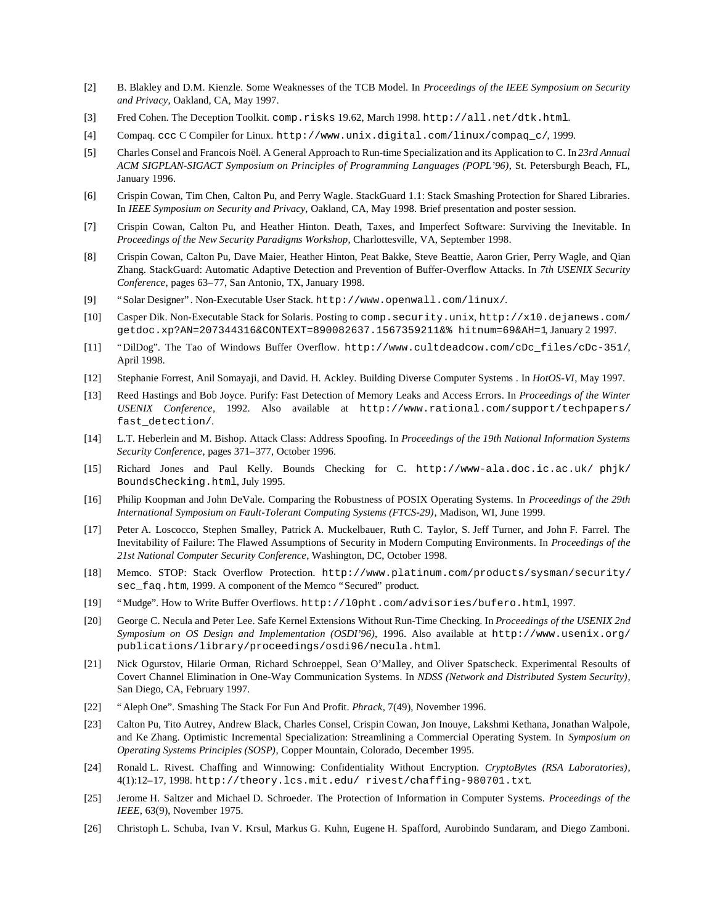- [2] B. Blakley and D.M. Kienzle. Some Weaknesses of the TCB Model. In *Proceedings of the IEEE Symposium on Security and Privacy*, Oakland, CA, May 1997.
- [3] Fred Cohen. The Deception Toolkit. comp.risks 19.62, March 1998. http://all.net/dtk.html.
- [4] Compaq. ccc C Compiler for Linux. http://www.unix.digital.com/linux/compaq\_c/, 1999.
- [5] Charles Consel and Francois Noël. A General Approach to Run-time Specialization and its Application to C. In *23rd Annual ACM SIGPLAN-SIGACT Symposium on Principles of Programming Languages (POPL'96)*, St. Petersburgh Beach, FL, January 1996.
- [6] Crispin Cowan, Tim Chen, Calton Pu, and Perry Wagle. StackGuard 1.1: Stack Smashing Protection for Shared Libraries. In *IEEE Symposium on Security and Privacy*, Oakland, CA, May 1998. Brief presentation and poster session.
- [7] Crispin Cowan, Calton Pu, and Heather Hinton. Death, Taxes, and Imperfect Software: Surviving the Inevitable. In *Proceedings of the New Security Paradigms Workshop*, Charlottesville, VA, September 1998.
- [8] Crispin Cowan, Calton Pu, Dave Maier, Heather Hinton, Peat Bakke, Steve Beattie, Aaron Grier, Perry Wagle, and Qian Zhang. StackGuard: Automatic Adaptive Detection and Prevention of Buffer-Overflow Attacks. In *7th USENIX Security Conference*, pages 63–77, San Antonio, TX, January 1998.
- [9] "Solar Designer". Non-Executable User Stack. http://www.openwall.com/linux/.
- [10] Casper Dik. Non-Executable Stack for Solaris. Posting to comp.security.unix, http://x10.dejanews.com/ getdoc.xp?AN=207344316&CONTEXT=890082637.1567359211&% hitnum=69&AH=1, January 2 1997.
- [11] "DilDog". The Tao of Windows Buffer Overflow. http://www.cultdeadcow.com/cDc\_files/cDc-351/, April 1998.
- [12] Stephanie Forrest, Anil Somayaji, and David. H. Ackley. Building Diverse Computer Systems . In *HotOS-VI*, May 1997.
- [13] Reed Hastings and Bob Joyce. Purify: Fast Detection of Memory Leaks and Access Errors. In *Proceedings of the Winter USENIX Conference*, 1992. Also available at http://www.rational.com/support/techpapers/ fast\_detection/.
- [14] L.T. Heberlein and M. Bishop. Attack Class: Address Spoofing. In *Proceedings of the 19th National Information Systems Security Conference*, pages 371–377, October 1996.
- [15] Richard Jones and Paul Kelly. Bounds Checking for C. http://www-ala.doc.ic.ac.uk/ phjk/ BoundsChecking.html, July 1995.
- [16] Philip Koopman and John DeVale. Comparing the Robustness of POSIX Operating Systems. In *Proceedings of the 29th International Symposium on Fault-Tolerant Computing Systems (FTCS-29)*, Madison, WI, June 1999.
- [17] Peter A. Loscocco, Stephen Smalley, Patrick A. Muckelbauer, Ruth C. Taylor, S. Jeff Turner, and John F. Farrel. The Inevitability of Failure: The Flawed Assumptions of Security in Modern Computing Environments. In *Proceedings of the 21st National Computer Security Conference*, Washington, DC, October 1998.
- [18] Memco. STOP: Stack Overflow Protection. http://www.platinum.com/products/sysman/security/ sec faq.htm, 1999. A component of the Memco "Secured" product.
- [19] "Mudge". How to Write Buffer Overflows. http://l0pht.com/advisories/bufero.html, 1997.
- [20] George C. Necula and Peter Lee. Safe Kernel Extensions Without Run-Time Checking. In *Proceedings of the USENIX 2nd Symposium on OS Design and Implementation (OSDI'96)*, 1996. Also available at http://www.usenix.org/ publications/library/proceedings/osdi96/necula.html.
- [21] Nick Ogurstov, Hilarie Orman, Richard Schroeppel, Sean O'Malley, and Oliver Spatscheck. Experimental Resoults of Covert Channel Elimination in One-Way Communication Systems. In *NDSS (Network and Distributed System Security)*, San Diego, CA, February 1997.
- [22] "Aleph One". Smashing The Stack For Fun And Profit. *Phrack*, 7(49), November 1996.
- [23] Calton Pu, Tito Autrey, Andrew Black, Charles Consel, Crispin Cowan, Jon Inouye, Lakshmi Kethana, Jonathan Walpole, and Ke Zhang. Optimistic Incremental Specialization: Streamlining a Commercial Operating System. In *Symposium on Operating Systems Principles (SOSP)*, Copper Mountain, Colorado, December 1995.
- [24] Ronald L. Rivest. Chaffing and Winnowing: Confidentiality Without Encryption. *CryptoBytes (RSA Laboratories)*, 4(1):12–17, 1998. http://theory.lcs.mit.edu/ rivest/chaffing-980701.txt.
- [25] Jerome H. Saltzer and Michael D. Schroeder. The Protection of Information in Computer Systems. *Proceedings of the IEEE*, 63(9), November 1975.
- [26] Christoph L. Schuba, Ivan V. Krsul, Markus G. Kuhn, Eugene H. Spafford, Aurobindo Sundaram, and Diego Zamboni.